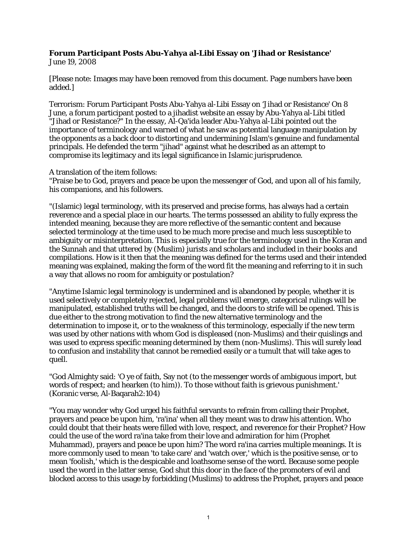## **Forum Participant Posts Abu-Yahya al-Libi Essay on 'Jihad or Resistance'**

June 19, 2008

[Please note: Images may have been removed from this document. Page numbers have been added.]

Terrorism: Forum Participant Posts Abu-Yahya al-Libi Essay on 'Jihad or Resistance' On 8 June, a forum participant posted to a jihadist website an essay by Abu-Yahya al-Libi titled "Jihad or Resistance?" In the essay, Al-Qa'ida leader Abu-Yahya al-Libi pointed out the importance of terminology and warned of what he saw as potential language manipulation by the opponents as a back door to distorting and undermining Islam's genuine and fundamental principals. He defended the term "jihad" against what he described as an attempt to compromise its legitimacy and its legal significance in Islamic jurisprudence.

A translation of the item follows:

"Praise be to God, prayers and peace be upon the messenger of God, and upon all of his family, his companions, and his followers.

"(Islamic) legal terminology, with its preserved and precise forms, has always had a certain reverence and a special place in our hearts. The terms possessed an ability to fully express the intended meaning, because they are more reflective of the semantic content and because selected terminology at the time used to be much more precise and much less susceptible to ambiguity or misinterpretation. This is especially true for the terminology used in the Koran and the Sunnah and that uttered by (Muslim) jurists and scholars and included in their books and compilations. How is it then that the meaning was defined for the terms used and their intended meaning was explained, making the form of the word fit the meaning and referring to it in such a way that allows no room for ambiguity or postulation?

"Anytime Islamic legal terminology is undermined and is abandoned by people, whether it is used selectively or completely rejected, legal problems will emerge, categorical rulings will be manipulated, established truths will be changed, and the doors to strife will be opened. This is due either to the strong motivation to find the new alternative terminology and the determination to impose it, or to the weakness of this terminology, especially if the new term was used by other nations with whom God is displeased (non-Muslims) and their quislings and was used to express specific meaning determined by them (non-Muslims). This will surely lead to confusion and instability that cannot be remedied easily or a tumult that will take ages to quell.

"God Almighty said: 'O ye of faith, Say not (to the messenger words of ambiguous import, but words of respect; and hearken (to him)). To those without faith is grievous punishment.' (Koranic verse, Al-Baqarah2:104)

"You may wonder why God urged his faithful servants to refrain from calling their Prophet, prayers and peace be upon him, 'ra'ina' when all they meant was to draw his attention. Who could doubt that their heats were filled with love, respect, and reverence for their Prophet? How could the use of the word ra'ina take from their love and admiration for him (Prophet Muhammad), prayers and peace be upon him? The word ra'ina carries multiple meanings. It is more commonly used to mean 'to take care' and 'watch over,' which is the positive sense, or to mean 'foolish,' which is the despicable and loathsome sense of the word. Because some people used the word in the latter sense, God shut this door in the face of the promoters of evil and blocked access to this usage by forbidding (Muslims) to address the Prophet, prayers and peace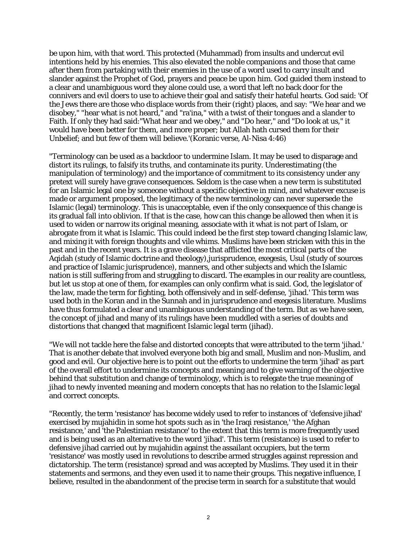be upon him, with that word. This protected (Muhammad) from insults and undercut evil intentions held by his enemies. This also elevated the noble companions and those that came after them from partaking with their enemies in the use of a word used to carry insult and slander against the Prophet of God, prayers and peace be upon him. God guided them instead to a clear and unambiguous word they alone could use, a word that left no back door for the connivers and evil doers to use to achieve their goal and satisfy their hateful hearts. God said: 'Of the Jews there are those who displace words from their (right) places, and say: "We hear and we disobey," "hear what is not heard," and "ra'ina," with a twist of their tongues and a slander to Faith. If only they had said:"What hear and we obey," and "Do hear," and "Do look at us," it would have been better for them, and more proper; but Allah hath cursed them for their Unbelief; and but few of them will believe.'(Koranic verse, Al-Nisa 4:46)

"Terminology can be used as a backdoor to undermine Islam. It may be used to disparage and distort its rulings, to falsify its truths, and contaminate its purity. Underestimating (the manipulation of terminology) and the importance of commitment to its consistency under any pretext will surely have grave consequences. Seldom is the case when a new term is substituted for an Islamic legal one by someone without a specific objective in mind, and whatever excuse is made or argument proposed, the legitimacy of the new terminology can never supersede the Islamic (legal) terminology. This is unacceptable, even if the only consequence of this change is its gradual fall into oblivion. If that is the case, how can this change be allowed then when it is used to widen or narrow its original meaning, associate with it what is not part of Islam, or abrogate from it what is Islamic. This could indeed be the first step toward changing Islamic law, and mixing it with foreign thoughts and vile whims. Muslims have been stricken with this in the past and in the recent years. It is a grave disease that afflicted the most critical parts of the Aqidah (study of Islamic doctrine and theology),jurisprudence, exegesis, Usul (study of sources and practice of Islamic jurisprudence), manners, and other subjects and which the Islamic nation is still suffering from and struggling to discard. The examples in our reality are countless, but let us stop at one of them, for examples can only confirm what is said. God, the legislator of the law, made the term for fighting, both offensively and in self-defense, 'jihad.' This term was used both in the Koran and in the Sunnah and in jurisprudence and exegesis literature. Muslims have thus formulated a clear and unambiguous understanding of the term. But as we have seen, the concept of jihad and many of its rulings have been muddled with a series of doubts and distortions that changed that magnificent Islamic legal term (jihad).

"We will not tackle here the false and distorted concepts that were attributed to the term 'jihad.' That is another debate that involved everyone both big and small, Muslim and non-Muslim, and good and evil. Our objective here is to point out the efforts to undermine the term 'jihad' as part of the overall effort to undermine its concepts and meaning and to give warning of the objective behind that substitution and change of terminology, which is to relegate the true meaning of jihad to newly invented meaning and modern concepts that has no relation to the Islamic legal and correct concepts.

"Recently, the term 'resistance' has become widely used to refer to instances of 'defensive jihad' exercised by mujahidin in some hot spots such as in 'the Iraqi resistance,' 'the Afghan resistance,' and 'the Palestinian resistance' to the extent that this term is more frequently used and is being used as an alternative to the word 'jihad'. This term (resistance) is used to refer to defensive jihad carried out by mujahidin against the assailant occupiers, but the term 'resistance' was mostly used in revolutions to describe armed struggles against repression and dictatorship. The term (resistance) spread and was accepted by Muslims. They used it in their statements and sermons, and they even used it to name their groups. This negative influence, I believe, resulted in the abandonment of the precise term in search for a substitute that would